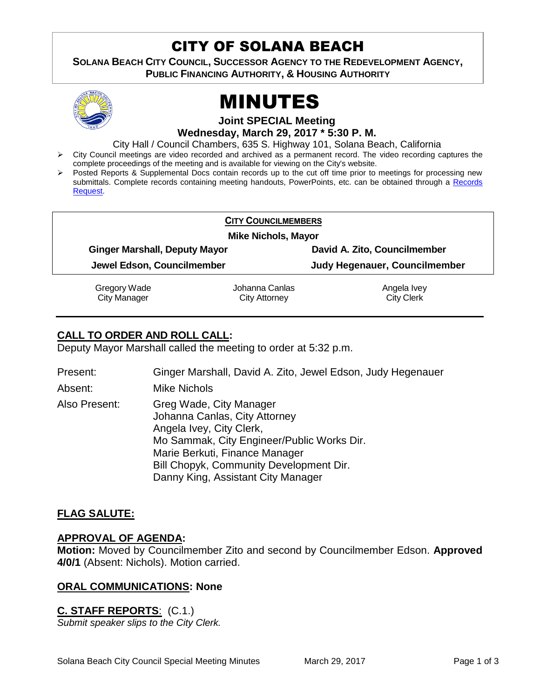# CITY OF SOLANA BEACH

**SOLANA BEACH CITY COUNCIL, SUCCESSOR AGENCY TO THE REDEVELOPMENT AGENCY, PUBLIC FINANCING AUTHORITY, & HOUSING AUTHORITY** 



# MINUTES

**Joint SPECIAL Meeting Wednesday, March 29, 2017 \* 5:30 P. M.** 

City Hall / Council Chambers, 635 S. Highway 101, Solana Beach, California

- $\triangleright$  City Council meetings are video recorded and archived as a permanent record. The video recording captures the complete proceedings of the meeting and is available for viewing on the City's website.
- Posted Reports & Supplemental Docs contain records up to the cut off time prior to meetings for processing new submittals. Complete records containing meeting handouts, PowerPoints, etc. can be obtained through a [Records](http://www.ci.solana-beach.ca.us/index.asp?SEC=F5D45D10-70CE-4291-A27C-7BD633FC6742&Type=B_BASIC)  [Request.](http://www.ci.solana-beach.ca.us/index.asp?SEC=F5D45D10-70CE-4291-A27C-7BD633FC6742&Type=B_BASIC)

|                                      | <b>CITY COUNCILMEMBERS</b>             |                                  |  |
|--------------------------------------|----------------------------------------|----------------------------------|--|
| <b>Mike Nichols, Mayor</b>           |                                        |                                  |  |
| <b>Ginger Marshall, Deputy Mayor</b> |                                        | David A. Zito, Councilmember     |  |
| Jewel Edson, Councilmember           |                                        | Judy Hegenauer, Councilmember    |  |
| Gregory Wade<br><b>City Manager</b>  | Johanna Canlas<br><b>City Attorney</b> | Angela Ivey<br><b>City Clerk</b> |  |

# **CALL TO ORDER AND ROLL CALL:**

Deputy Mayor Marshall called the meeting to order at 5:32 p.m.

| Present:      | Ginger Marshall, David A. Zito, Jewel Edson, Judy Hegenauer                                                                                                                                                                                           |
|---------------|-------------------------------------------------------------------------------------------------------------------------------------------------------------------------------------------------------------------------------------------------------|
| Absent:       | <b>Mike Nichols</b>                                                                                                                                                                                                                                   |
| Also Present: | Greg Wade, City Manager<br>Johanna Canlas, City Attorney<br>Angela Ivey, City Clerk,<br>Mo Sammak, City Engineer/Public Works Dir.<br>Marie Berkuti, Finance Manager<br>Bill Chopyk, Community Development Dir.<br>Danny King, Assistant City Manager |

# **FLAG SALUTE:**

#### **APPROVAL OF AGENDA:**

**Motion:** Moved by Councilmember Zito and second by Councilmember Edson. **Approved 4/0/1** (Absent: Nichols). Motion carried.

### **ORAL COMMUNICATIONS: None**

**C. STAFF REPORTS**: (C.1.) *Submit speaker slips to the City Clerk.*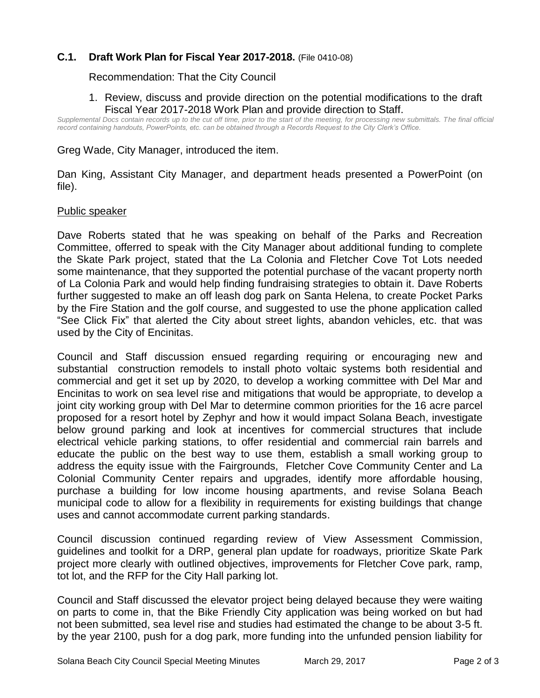## **C.1. Draft Work Plan for Fiscal Year 2017-2018.** (File 0410-08)

Recommendation: That the City Council

#### 1. Review, discuss and provide direction on the potential modifications to the draft Fiscal Year 2017-2018 Work Plan and provide direction to Staff.

*Supplemental Docs contain records up to the cut off time, prior to the start of the meeting, for processing new submittals. The final official record containing handouts, PowerPoints, etc. can be obtained through a Records Request to the City Clerk's Office.*

Greg Wade, City Manager, introduced the item.

Dan King, Assistant City Manager, and department heads presented a PowerPoint (on file).

#### Public speaker

Dave Roberts stated that he was speaking on behalf of the Parks and Recreation Committee, offerred to speak with the City Manager about additional funding to complete the Skate Park project, stated that the La Colonia and Fletcher Cove Tot Lots needed some maintenance, that they supported the potential purchase of the vacant property north of La Colonia Park and would help finding fundraising strategies to obtain it. Dave Roberts further suggested to make an off leash dog park on Santa Helena, to create Pocket Parks by the Fire Station and the golf course, and suggested to use the phone application called "See Click Fix" that alerted the City about street lights, abandon vehicles, etc. that was used by the City of Encinitas.

Council and Staff discussion ensued regarding requiring or encouraging new and substantial construction remodels to install photo voltaic systems both residential and commercial and get it set up by 2020, to develop a working committee with Del Mar and Encinitas to work on sea level rise and mitigations that would be appropriate, to develop a joint city working group with Del Mar to determine common priorities for the 16 acre parcel proposed for a resort hotel by Zephyr and how it would impact Solana Beach, investigate below ground parking and look at incentives for commercial structures that include electrical vehicle parking stations, to offer residential and commercial rain barrels and educate the public on the best way to use them, establish a small working group to address the equity issue with the Fairgrounds, Fletcher Cove Community Center and La Colonial Community Center repairs and upgrades, identify more affordable housing, purchase a building for low income housing apartments, and revise Solana Beach municipal code to allow for a flexibility in requirements for existing buildings that change uses and cannot accommodate current parking standards.

Council discussion continued regarding review of View Assessment Commission, guidelines and toolkit for a DRP, general plan update for roadways, prioritize Skate Park project more clearly with outlined objectives, improvements for Fletcher Cove park, ramp, tot lot, and the RFP for the City Hall parking lot.

Council and Staff discussed the elevator project being delayed because they were waiting on parts to come in, that the Bike Friendly City application was being worked on but had not been submitted, sea level rise and studies had estimated the change to be about 3-5 ft. by the year 2100, push for a dog park, more funding into the unfunded pension liability for